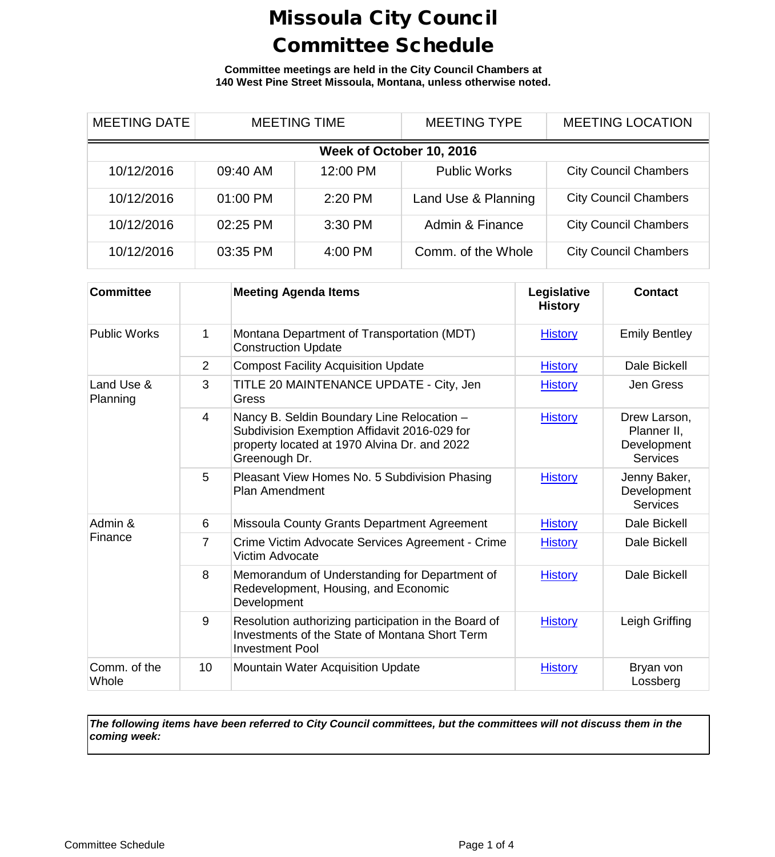**Committee meetings are held in the City Council Chambers at 140 West Pine Street Missoula, Montana, unless otherwise noted.**

| <b>MEETING DATE</b>      | <b>MEETING TIME</b> |          | <b>MEETING TYPE</b> | <b>MEETING LOCATION</b>      |  |
|--------------------------|---------------------|----------|---------------------|------------------------------|--|
| Week of October 10, 2016 |                     |          |                     |                              |  |
| 10/12/2016               | 09:40 AM            | 12:00 PM | <b>Public Works</b> | <b>City Council Chambers</b> |  |
| 10/12/2016               | 01:00 PM            | 2:20 PM  | Land Use & Planning | <b>City Council Chambers</b> |  |
| 10/12/2016               | 02:25 PM            | 3:30 PM  | Admin & Finance     | <b>City Council Chambers</b> |  |
| 10/12/2016               | 03:35 PM            | 4:00 PM  | Comm. of the Whole  | <b>City Council Chambers</b> |  |

| <b>Committee</b>       |                | <b>Meeting Agenda Items</b>                                                                                                                                 | Legislative<br><b>History</b> | <b>Contact</b>                                                |
|------------------------|----------------|-------------------------------------------------------------------------------------------------------------------------------------------------------------|-------------------------------|---------------------------------------------------------------|
| <b>Public Works</b>    | 1              | Montana Department of Transportation (MDT)<br><b>Construction Update</b>                                                                                    | <b>History</b>                | <b>Emily Bentley</b>                                          |
|                        | $\overline{2}$ | <b>Compost Facility Acquisition Update</b>                                                                                                                  | <b>History</b>                | Dale Bickell                                                  |
| Land Use &<br>Planning | 3              | TITLE 20 MAINTENANCE UPDATE - City, Jen<br>Gress                                                                                                            | <b>History</b>                | Jen Gress                                                     |
|                        | $\overline{4}$ | Nancy B. Seldin Boundary Line Relocation -<br>Subdivision Exemption Affidavit 2016-029 for<br>property located at 1970 Alvina Dr. and 2022<br>Greenough Dr. | <b>History</b>                | Drew Larson,<br>Planner II,<br>Development<br><b>Services</b> |
|                        | 5              | Pleasant View Homes No. 5 Subdivision Phasing<br><b>Plan Amendment</b>                                                                                      | <b>History</b>                | Jenny Baker,<br>Development<br><b>Services</b>                |
| Admin &<br>Finance     | 6              | Missoula County Grants Department Agreement                                                                                                                 | <b>History</b>                | Dale Bickell                                                  |
|                        | $\overline{7}$ | Crime Victim Advocate Services Agreement - Crime<br>Victim Advocate                                                                                         | <b>History</b>                | Dale Bickell                                                  |
|                        | 8              | Memorandum of Understanding for Department of<br>Redevelopment, Housing, and Economic<br>Development                                                        | <b>History</b>                | Dale Bickell                                                  |
|                        | 9              | Resolution authorizing participation in the Board of<br>Investments of the State of Montana Short Term<br><b>Investment Pool</b>                            | <b>History</b>                | Leigh Griffing                                                |
| Comm. of the<br>Whole  | 10             | <b>Mountain Water Acquisition Update</b>                                                                                                                    | <b>History</b>                | Bryan von<br>Lossberg                                         |

*The following items have been referred to City Council committees, but the committees will not discuss them in the coming week:*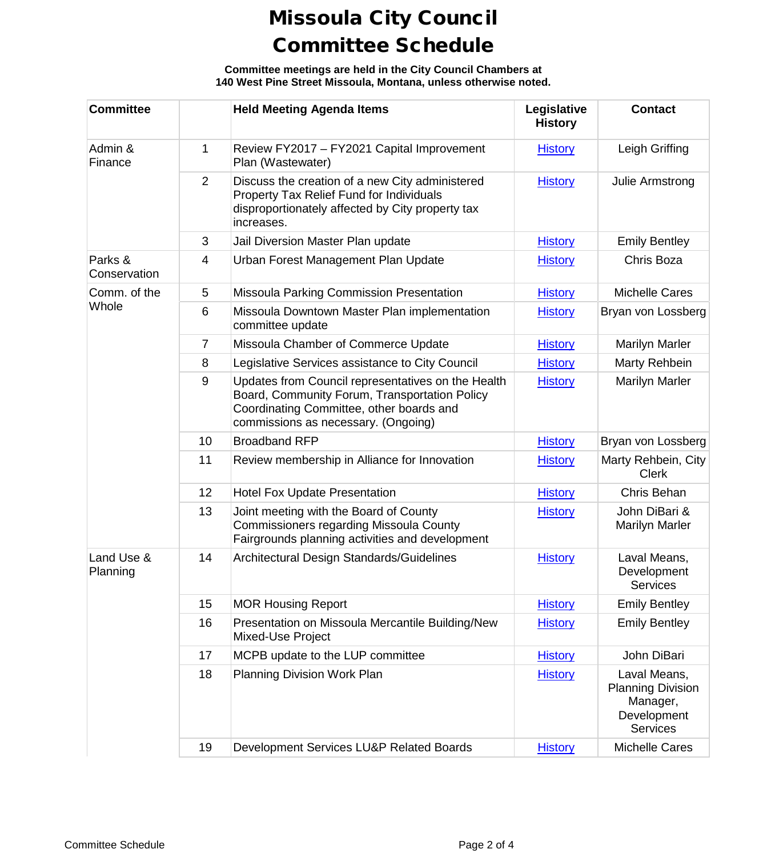**Committee meetings are held in the City Council Chambers at 140 West Pine Street Missoula, Montana, unless otherwise noted.**

| <b>Committee</b>        |                | <b>Held Meeting Agenda Items</b>                                                                                                                                                       | Legislative<br><b>History</b> | <b>Contact</b>                                                                         |
|-------------------------|----------------|----------------------------------------------------------------------------------------------------------------------------------------------------------------------------------------|-------------------------------|----------------------------------------------------------------------------------------|
| Admin &<br>Finance      | 1              | Review FY2017 - FY2021 Capital Improvement<br>Plan (Wastewater)                                                                                                                        | <b>History</b>                | Leigh Griffing                                                                         |
|                         | 2              | Discuss the creation of a new City administered<br>Property Tax Relief Fund for Individuals<br>disproportionately affected by City property tax<br>increases.                          | <b>History</b>                | Julie Armstrong                                                                        |
|                         | 3              | Jail Diversion Master Plan update                                                                                                                                                      | <b>History</b>                | <b>Emily Bentley</b>                                                                   |
| Parks &<br>Conservation | 4              | Urban Forest Management Plan Update                                                                                                                                                    | <b>History</b>                | Chris Boza                                                                             |
| Comm. of the            | 5              | Missoula Parking Commission Presentation                                                                                                                                               | <b>History</b>                | <b>Michelle Cares</b>                                                                  |
| Whole                   | 6              | Missoula Downtown Master Plan implementation<br>committee update                                                                                                                       | <b>History</b>                | Bryan von Lossberg                                                                     |
|                         | $\overline{7}$ | Missoula Chamber of Commerce Update                                                                                                                                                    | <b>History</b>                | <b>Marilyn Marler</b>                                                                  |
|                         | 8              | Legislative Services assistance to City Council                                                                                                                                        | <b>History</b>                | Marty Rehbein                                                                          |
|                         | $9\,$          | Updates from Council representatives on the Health<br>Board, Community Forum, Transportation Policy<br>Coordinating Committee, other boards and<br>commissions as necessary. (Ongoing) | <b>History</b>                | Marilyn Marler                                                                         |
|                         | 10             | <b>Broadband RFP</b>                                                                                                                                                                   | <b>History</b>                | Bryan von Lossberg                                                                     |
|                         | 11             | Review membership in Alliance for Innovation                                                                                                                                           | <b>History</b>                | Marty Rehbein, City<br><b>Clerk</b>                                                    |
|                         | 12             | <b>Hotel Fox Update Presentation</b>                                                                                                                                                   | <b>History</b>                | Chris Behan                                                                            |
|                         | 13             | Joint meeting with the Board of County<br>Commissioners regarding Missoula County<br>Fairgrounds planning activities and development                                                   | <b>History</b>                | John DiBari &<br><b>Marilyn Marler</b>                                                 |
| Land Use &<br>Planning  | 14             | Architectural Design Standards/Guidelines                                                                                                                                              | <b>History</b>                | Laval Means,<br>Development<br><b>Services</b>                                         |
|                         | 15             | <b>MOR Housing Report</b>                                                                                                                                                              | <b>History</b>                | <b>Emily Bentley</b>                                                                   |
|                         | 16             | Presentation on Missoula Mercantile Building/New<br>Mixed-Use Project                                                                                                                  | <b>History</b>                | <b>Emily Bentley</b>                                                                   |
|                         | 17             | MCPB update to the LUP committee                                                                                                                                                       | <b>History</b>                | John DiBari                                                                            |
|                         | 18             | Planning Division Work Plan                                                                                                                                                            | <b>History</b>                | Laval Means,<br><b>Planning Division</b><br>Manager,<br>Development<br><b>Services</b> |
|                         | 19             | Development Services LU&P Related Boards                                                                                                                                               | <b>History</b>                | Michelle Cares                                                                         |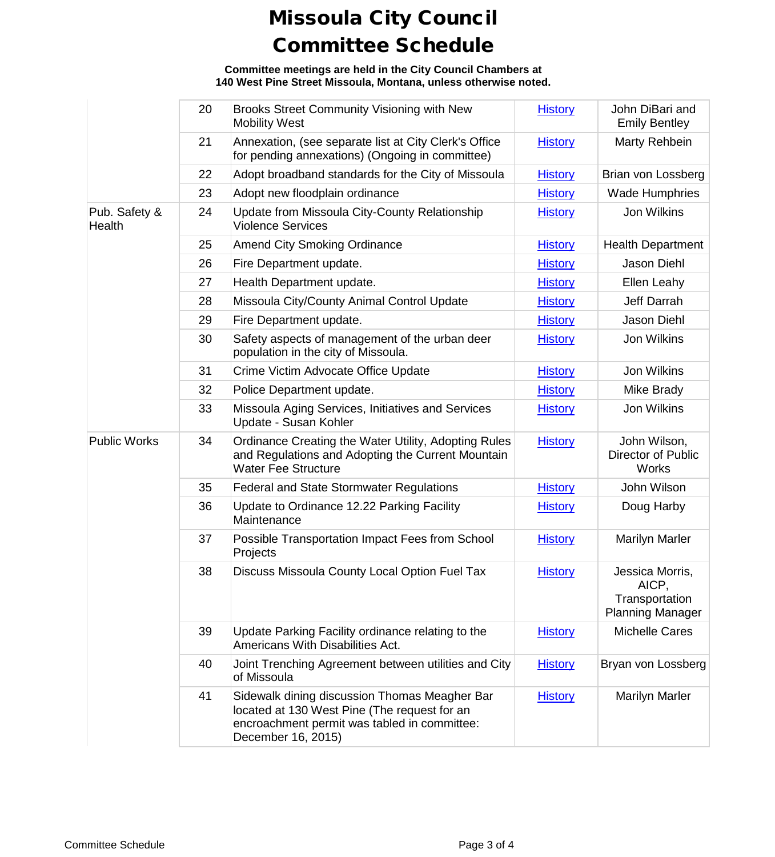**Committee meetings are held in the City Council Chambers at 140 West Pine Street Missoula, Montana, unless otherwise noted.**

|                         | 20 | Brooks Street Community Visioning with New<br><b>Mobility West</b>                                                                                                  | <b>History</b> | John DiBari and<br><b>Emily Bentley</b>                               |
|-------------------------|----|---------------------------------------------------------------------------------------------------------------------------------------------------------------------|----------------|-----------------------------------------------------------------------|
|                         | 21 | Annexation, (see separate list at City Clerk's Office<br>for pending annexations) (Ongoing in committee)                                                            | <b>History</b> | Marty Rehbein                                                         |
|                         | 22 | Adopt broadband standards for the City of Missoula                                                                                                                  | <b>History</b> | Brian von Lossberg                                                    |
|                         | 23 | Adopt new floodplain ordinance                                                                                                                                      | <b>History</b> | <b>Wade Humphries</b>                                                 |
| Pub. Safety &<br>Health | 24 | Update from Missoula City-County Relationship<br><b>Violence Services</b>                                                                                           | <b>History</b> | Jon Wilkins                                                           |
|                         | 25 | <b>Amend City Smoking Ordinance</b>                                                                                                                                 | <b>History</b> | <b>Health Department</b>                                              |
|                         | 26 | Fire Department update.                                                                                                                                             | <b>History</b> | Jason Diehl                                                           |
|                         | 27 | Health Department update.                                                                                                                                           | <b>History</b> | Ellen Leahy                                                           |
|                         | 28 | Missoula City/County Animal Control Update                                                                                                                          | <b>History</b> | Jeff Darrah                                                           |
|                         | 29 | Fire Department update.                                                                                                                                             | <b>History</b> | Jason Diehl                                                           |
|                         | 30 | Safety aspects of management of the urban deer<br>population in the city of Missoula.                                                                               | <b>History</b> | Jon Wilkins                                                           |
|                         | 31 | Crime Victim Advocate Office Update                                                                                                                                 | <b>History</b> | <b>Jon Wilkins</b>                                                    |
|                         | 32 | Police Department update.                                                                                                                                           | <b>History</b> | Mike Brady                                                            |
|                         | 33 | Missoula Aging Services, Initiatives and Services<br>Update - Susan Kohler                                                                                          | <b>History</b> | Jon Wilkins                                                           |
| <b>Public Works</b>     | 34 | Ordinance Creating the Water Utility, Adopting Rules<br>and Regulations and Adopting the Current Mountain<br><b>Water Fee Structure</b>                             | <b>History</b> | John Wilson,<br><b>Director of Public</b><br><b>Works</b>             |
|                         | 35 | <b>Federal and State Stormwater Regulations</b>                                                                                                                     | <b>History</b> | John Wilson                                                           |
|                         | 36 | Update to Ordinance 12.22 Parking Facility<br>Maintenance                                                                                                           | <b>History</b> | Doug Harby                                                            |
|                         | 37 | Possible Transportation Impact Fees from School<br>Projects                                                                                                         | <b>History</b> | <b>Marilyn Marler</b>                                                 |
|                         | 38 | Discuss Missoula County Local Option Fuel Tax                                                                                                                       | <b>History</b> | Jessica Morris,<br>AICP,<br>Transportation<br><b>Planning Manager</b> |
|                         | 39 | Update Parking Facility ordinance relating to the<br>Americans With Disabilities Act.                                                                               | <b>History</b> | <b>Michelle Cares</b>                                                 |
|                         | 40 | Joint Trenching Agreement between utilities and City<br>of Missoula                                                                                                 | <b>History</b> | Bryan von Lossberg                                                    |
|                         | 41 | Sidewalk dining discussion Thomas Meagher Bar<br>located at 130 West Pine (The request for an<br>encroachment permit was tabled in committee:<br>December 16, 2015) | <b>History</b> | <b>Marilyn Marler</b>                                                 |